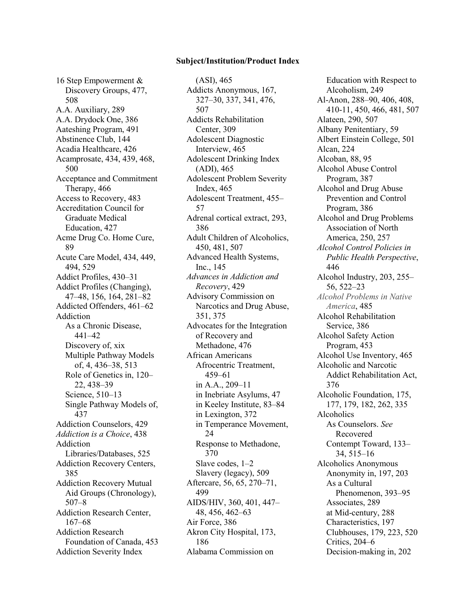## **Subject/Institution/Product Index**

16 Step Empowerment & Discovery Groups, 477, 508 A.A. Auxiliary, 289 A.A. Drydock One, 386 Aateshing Program, 491 Abstinence Club, 144 Acadia Healthcare, 426 Acamprosate, 434, 439, 468, 500 Acceptance and Commitment Therapy, 466 Access to Recovery, 483 Accreditation Council for Graduate Medical Education, 427 Acme Drug Co. Home Cure, 89 Acute Care Model, 434, 449, 494, 529 Addict Profiles, 430–31 Addict Profiles (Changing), 47–48, 156, 164, 281–82 Addicted Offenders, 461–62 Addiction As a Chronic Disease, 441–42 Discovery of, xix Multiple Pathway Models of, 4, 436–38, 513 Role of Genetics in, 120– 22, 438–39 Science, 510–13 Single Pathway Models of, 437 Addiction Counselors, 429 *Addiction is a Choice*, 438 Addiction Libraries/Databases, 525 Addiction Recovery Centers, 385 Addiction Recovery Mutual Aid Groups (Chronology), 507–8 Addiction Research Center, 167–68 Addiction Research Foundation of Canada, 453 Addiction Severity Index

(ASI), 465 Addicts Anonymous, 167, 327–30, 337, 341, 476, 507 Addicts Rehabilitation Center, 309 Adolescent Diagnostic Interview, 465 Adolescent Drinking Index (ADI), 465 Adolescent Problem Severity Index, 465 Adolescent Treatment, 455– 57 Adrenal cortical extract, 293, 386 Adult Children of Alcoholics, 450, 481, 507 Advanced Health Systems, Inc., 145 *Advances in Addiction and Recovery*, 429 Advisory Commission on Narcotics and Drug Abuse, 351, 375 Advocates for the Integration of Recovery and Methadone, 476 African Americans Afrocentric Treatment, 459–61 in A.A., 209–11 in Inebriate Asylums, 47 in Keeley Institute, 83–84 in Lexington, 372 in Temperance Movement, 24 Response to Methadone, 370 Slave codes, 1–2 Slavery (legacy), 509 Aftercare, 56, 65, 270–71, 499 AIDS/HIV, 360, 401, 447– 48, 456, 462–63 Air Force, 386 Akron City Hospital, 173, 186 Alabama Commission on

Education with Respect to Alcoholism, 249 Al-Anon, 288–90, 406, 408, 410-11, 450, 466, 481, 507 Alateen, 290, 507 Albany Penitentiary, 59 Albert Einstein College, 501 Alcan, 224 Alcoban, 88, 95 Alcohol Abuse Control Program, 387 Alcohol and Drug Abuse Prevention and Control Program, 386 Alcohol and Drug Problems Association of North America, 250, 257 *Alcohol Control Policies in Public Health Perspective*, 446 Alcohol Industry, 203, 255– 56, 522–23 *Alcohol Problems in Native America*, 485 Alcohol Rehabilitation Service, 386 Alcohol Safety Action Program, 453 Alcohol Use Inventory, 465 Alcoholic and Narcotic Addict Rehabilitation Act, 376 Alcoholic Foundation, 175, 177, 179, 182, 262, 335 Alcoholics As Counselors. *See* Recovered Contempt Toward, 133– 34, 515–16 Alcoholics Anonymous Anonymity in, 197, 203 As a Cultural Phenomenon, 393–95 Associates, 289 at Mid-century, 288 Characteristics, 197 Clubhouses, 179, 223, 520 Critics, 204–6 Decision-making in, 202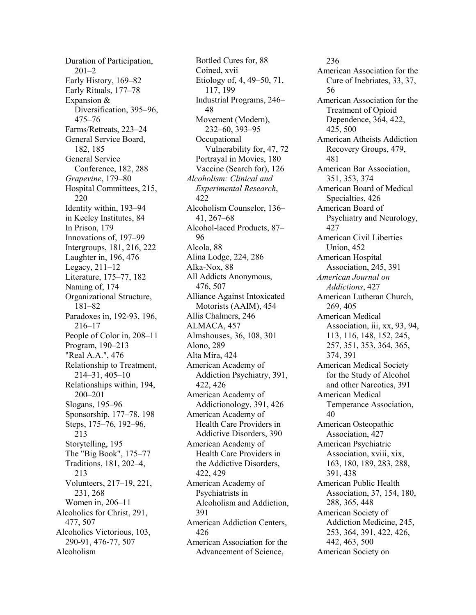Duration of Participation, 201–2 Early History, 169–82 Early Rituals, 177–78 Expansion & Diversification, 395–96, 475–76 Farms/Retreats, 223–24 General Service Board, 182, 185 General Service Conference, 182, 288 *Grapevine*, 179–80 Hospital Committees, 215, 220 Identity within, 193–94 in Keeley Institutes, 84 In Prison, 179 Innovations of, 197–99 Intergroups, 181, 216, 222 Laughter in, 196, 476 Legacy, 211–12 Literature, 175–77, 182 Naming of, 174 Organizational Structure, 181–82 Paradoxes in, 192-93, 196, 216–17 People of Color in, 208–11 Program, 190–213 "Real A.A.", 476 Relationship to Treatment, 214–31, 405–10 Relationships within, 194, 200–201 Slogans, 195–96 Sponsorship, 177–78, 198 Steps, 175–76, 192–96, 213 Storytelling, 195 The "Big Book", 175–77 Traditions, 181, 202–4, 213 Volunteers, 217–19, 221, 231, 268 Women in, 206–11 Alcoholics for Christ, 291, 477, 507 Alcoholics Victorious, 103, 290-91, 476-77, 507 Alcoholism

Bottled Cures for, 88 Coined, xvii Etiology of, 4, 49–50, 71, 117, 199 Industrial Programs, 246– 48 Movement (Modern), 232–60, 393–95 **Occupational** Vulnerability for, 47, 72 Portrayal in Movies, 180 Vaccine (Search for), 126 *Alcoholism: Clinical and Experimental Research*, 422 Alcoholism Counselor, 136– 41, 267–68 Alcohol-laced Products, 87– 96 Alcola, 88 Alina Lodge, 224, 286 Alka-Nox, 88 All Addicts Anonymous, 476, 507 Alliance Against Intoxicated Motorists (AAIM), 454 Allis Chalmers, 246 ALMACA, 457 Almshouses, 36, 108, 301 Alono, 289 Alta Mira, 424 American Academy of Addiction Psychiatry, 391, 422, 426 American Academy of Addictionology, 391, 426 American Academy of Health Care Providers in Addictive Disorders, 390 American Academy of Health Care Providers in the Addictive Disorders, 422, 429 American Academy of Psychiatrists in Alcoholism and Addiction, 391 American Addiction Centers, 426 American Association for the Advancement of Science,

236 American Association for the Cure of Inebriates, 33, 37, 56 American Association for the Treatment of Opioid Dependence, 364, 422, 425, 500 American Atheists Addiction Recovery Groups, 479, 481 American Bar Association, 351, 353, 374 American Board of Medical Specialties, 426 American Board of Psychiatry and Neurology, 427 American Civil Liberties Union, 452 American Hospital Association, 245, 391 *American Journal on Addictions*, 427 American Lutheran Church, 269, 405 American Medical Association, iii, xx, 93, 94, 113, 116, 148, 152, 245, 257, 351, 353, 364, 365, 374, 391 American Medical Society for the Study of Alcohol and other Narcotics, 391 American Medical Temperance Association, 40 American Osteopathic Association, 427 American Psychiatric Association, xviii, xix, 163, 180, 189, 283, 288, 391, 438 American Public Health Association, 37, 154, 180, 288, 365, 448 American Society of Addiction Medicine, 245, 253, 364, 391, 422, 426, 442, 463, 500 American Society on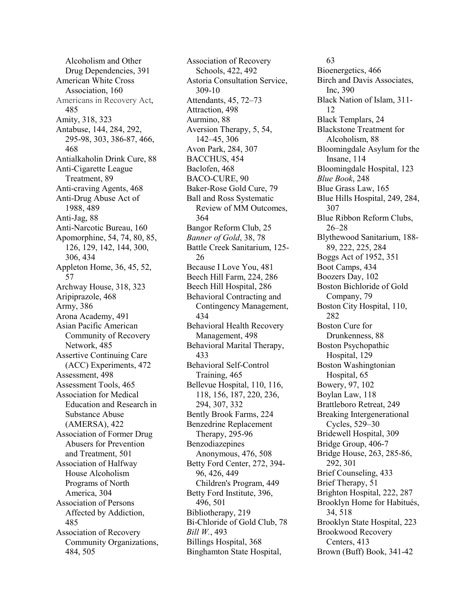Alcoholism and Other Drug Dependencies, 391 American White Cross Association, 160 Americans in Recovery Act, 485 Amity, 318, 323 Antabuse, 144, 284, 292, 295-98, 303, 386-87, 466, 468 Antialkaholin Drink Cure, 88 Anti-Cigarette League Treatment, 89 Anti-craving Agents, 468 Anti-Drug Abuse Act of 1988, 489 Anti-Jag, 88 Anti-Narcotic Bureau, 160 Apomorphine, 54, 74, 80, 85, 126, 129, 142, 144, 300, 306, 434 Appleton Home, 36, 45, 52, 57 Archway House, 318, 323 Aripiprazole, 468 Army, 386 Arona Academy, 491 Asian Pacific American Community of Recovery Network, 485 Assertive Continuing Care (ACC) Experiments, 472 Assessment, 498 Assessment Tools, 465 Association for Medical Education and Research in Substance Abuse (AMERSA), 422 Association of Former Drug Abusers for Prevention and Treatment, 501 Association of Halfway House Alcoholism Programs of North America, 304 Association of Persons Affected by Addiction, 485 Association of Recovery Community Organizations, 484, 505

Association of Recovery Schools, 422, 492 Astoria Consultation Service, 309-10 Attendants, 45, 72–73 Attraction, 498 Aurmino, 88 Aversion Therapy, 5, 54, 142–45, 306 Avon Park, 284, 307 BACCHUS, 454 Baclofen, 468 BACO-CURE, 90 Baker-Rose Gold Cure, 79 Ball and Ross Systematic Review of MM Outcomes, 364 Bangor Reform Club, 25 *Banner of Gold*, 38, 78 Battle Creek Sanitarium, 125- 26 Because I Love You, 481 Beech Hill Farm, 224, 286 Beech Hill Hospital, 286 Behavioral Contracting and Contingency Management, 434 Behavioral Health Recovery Management, 498 Behavioral Marital Therapy, 433 Behavioral Self-Control Training, 465 Bellevue Hospital, 110, 116, 118, 156, 187, 220, 236, 294, 307, 332 Bently Brook Farms, 224 Benzedrine Replacement Therapy, 295-96 Benzodiazepines Anonymous, 476, 508 Betty Ford Center, 272, 394- 96, 426, 449 Children's Program, 449 Betty Ford Institute, 396, 496, 501 Bibliotherapy, 219 Bi-Chloride of Gold Club, 78 *Bill W.*, 493 Billings Hospital, 368 Binghamton State Hospital,

63 Bioenergetics, 466 Birch and Davis Associates, Inc, 390 Black Nation of Islam, 311- 12 Black Templars, 24 Blackstone Treatment for Alcoholism, 88 Bloomingdale Asylum for the Insane, 114 Bloomingdale Hospital, 123 *Blue Book*, 248 Blue Grass Law, 165 Blue Hills Hospital, 249, 284, 307 Blue Ribbon Reform Clubs, 26–28 Blythewood Sanitarium, 188- 89, 222, 225, 284 Boggs Act of 1952, 351 Boot Camps, 434 Boozers Day, 102 Boston Bichloride of Gold Company, 79 Boston City Hospital, 110, 282 Boston Cure for Drunkenness, 88 Boston Psychopathic Hospital, 129 Boston Washingtonian Hospital, 65 Bowery, 97, 102 Boylan Law, 118 Brattleboro Retreat, 249 Breaking Intergenerational Cycles, 529–30 Bridewell Hospital, 309 Bridge Group, 406-7 Bridge House, 263, 285-86, 292, 301 Brief Counseling, 433 Brief Therapy, 51 Brighton Hospital, 222, 287 Brooklyn Home for Habitués, 34, 518 Brooklyn State Hospital, 223 Brookwood Recovery Centers, 413 Brown (Buff) Book, 341-42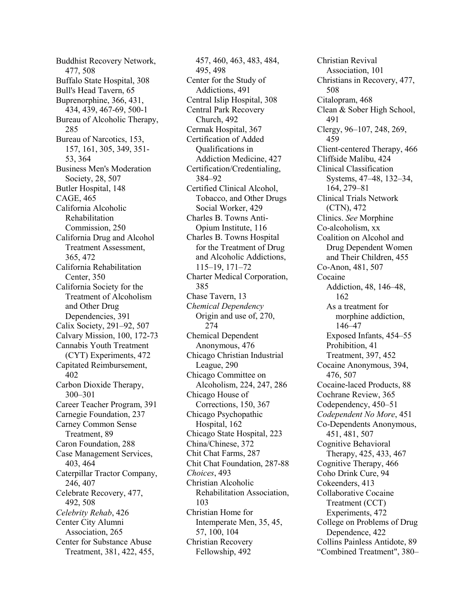Buddhist Recovery Network, 477, 508 Buffalo State Hospital, 308 Bull's Head Tavern, 65 Buprenorphine, 366, 431, 434, 439, 467-69, 500-1 Bureau of Alcoholic Therapy, 285 Bureau of Narcotics, 153, 157, 161, 305, 349, 351- 53, 364 Business Men's Moderation Society, 28, 507 Butler Hospital, 148 CAGE, 465 California Alcoholic Rehabilitation Commission, 250 California Drug and Alcohol Treatment Assessment, 365, 472 California Rehabilitation Center, 350 California Society for the Treatment of Alcoholism and Other Drug Dependencies, 391 Calix Society, 291–92, 507 Calvary Mission, 100, 172-73 Cannabis Youth Treatment (CYT) Experiments, 472 Capitated Reimbursement, 402 Carbon Dioxide Therapy, 300–301 Career Teacher Program, 391 Carnegie Foundation, 237 Carney Common Sense Treatment, 89 Caron Foundation, 288 Case Management Services, 403, 464 Caterpillar Tractor Company, 246, 407 Celebrate Recovery, 477, 492, 508 *Celebrity Rehab*, 426 Center City Alumni Association, 265 Center for Substance Abuse Treatment, 381, 422, 455,

457, 460, 463, 483, 484, 495, 498 Center for the Study of Addictions, 491 Central Islip Hospital, 308 Central Park Recovery Church, 492 Cermak Hospital, 367 Certification of Added Qualifications in Addiction Medicine, 427 Certification/Credentialing, 384–92 Certified Clinical Alcohol, Tobacco, and Other Drugs Social Worker, 429 Charles B. Towns Anti-Opium Institute, 116 Charles B. Towns Hospital for the Treatment of Drug and Alcoholic Addictions, 115–19, 171–72 Charter Medical Corporation, 385 Chase Tavern, 13 C*hemical Dependency* Origin and use of, 270, 274 Chemical Dependent Anonymous, 476 Chicago Christian Industrial League, 290 Chicago Committee on Alcoholism, 224, 247, 286 Chicago House of Corrections, 150, 367 Chicago Psychopathic Hospital, 162 Chicago State Hospital, 223 China/Chinese, 372 Chit Chat Farms, 287 Chit Chat Foundation, 287-88 *Choices*, 493 Christian Alcoholic Rehabilitation Association, 103 Christian Home for Intemperate Men, 35, 45, 57, 100, 104 Christian Recovery Fellowship, 492

Christian Revival Association, 101 Christians in Recovery, 477, 508 Citalopram, 468 Clean & Sober High School, 491 Clergy, 96–107, 248, 269, 459 Client-centered Therapy, 466 Cliffside Malibu, 424 Clinical Classification Systems, 47–48, 132–34, 164, 279–81 Clinical Trials Network (CTN), 472 Clinics. *See* Morphine Co-alcoholism, xx Coalition on Alcohol and Drug Dependent Women and Their Children, 455 Co-Anon, 481, 507 Cocaine Addiction, 48, 146–48, 162 As a treatment for morphine addiction, 146–47 Exposed Infants, 454–55 Prohibition, 41 Treatment, 397, 452 Cocaine Anonymous, 394, 476, 507 Cocaine-laced Products, 88 Cochrane Review, 365 Codependency, 450–51 *Codependent No More*, 451 Co-Dependents Anonymous, 451, 481, 507 Cognitive Behavioral Therapy, 425, 433, 467 Cognitive Therapy, 466 Coho Drink Cure, 94 Cokeenders, 413 Collaborative Cocaine Treatment (CCT) Experiments, 472 College on Problems of Drug Dependence, 422 Collins Painless Antidote, 89 "Combined Treatment", 380–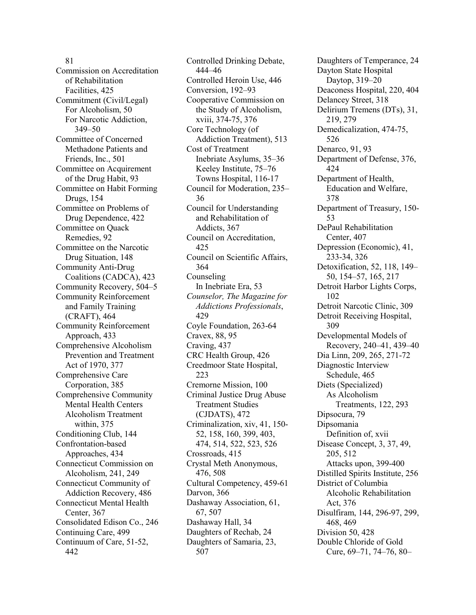81 Commission on Accreditation of Rehabilitation Facilities, 425 Commitment (Civil/Legal) For Alcoholism, 50 For Narcotic Addiction, 349–50 Committee of Concerned Methadone Patients and Friends, Inc., 501 Committee on Acquirement of the Drug Habit, 93 Committee on Habit Forming Drugs, 154 Committee on Problems of Drug Dependence, 422 Committee on Quack Remedies, 92 Committee on the Narcotic Drug Situation, 148 Community Anti-Drug Coalitions (CADCA), 423 Community Recovery, 504–5 Community Reinforcement and Family Training (CRAFT), 464 Community Reinforcement Approach, 433 Comprehensive Alcoholism Prevention and Treatment Act of 1970, 377 Comprehensive Care Corporation, 385 Comprehensive Community Mental Health Centers Alcoholism Treatment within, 375 Conditioning Club, 144 Confrontation-based Approaches, 434 Connecticut Commission on Alcoholism, 241, 249 Connecticut Community of Addiction Recovery, 486 Connecticut Mental Health Center, 367 Consolidated Edison Co., 246 Continuing Care, 499

Continuum of Care, 51-52, 442

Controlled Drinking Debate, 444–46 Controlled Heroin Use, 446 Conversion, 192–93 Cooperative Commission on the Study of Alcoholism, xviii, 374-75, 376 Core Technology (of Addiction Treatment), 513 Cost of Treatment Inebriate Asylums, 35–36 Keeley Institute, 75–76 Towns Hospital, 116-17 Council for Moderation, 235– 36 Council for Understanding and Rehabilitation of Addicts, 367 Council on Accreditation, 425 Council on Scientific Affairs, 364 Counseling In Inebriate Era, 53 *Counselor, The Magazine for Addictions Professionals*, 429 Coyle Foundation, 263-64 Cravex, 88, 95 Craving, 437 CRC Health Group, 426 Creedmoor State Hospital, 223 Cremorne Mission, 100 Criminal Justice Drug Abuse Treatment Studies (CJDATS), 472 Criminalization, xiv, 41, 150- 52, 158, 160, 399, 403, 474, 514, 522, 523, 526 Crossroads, 415 Crystal Meth Anonymous, 476, 508 Cultural Competency, 459-61 Darvon, 366 Dashaway Association, 61, 67, 507 Dashaway Hall, 34 Daughters of Rechab, 24 Daughters of Samaria, 23, 507

Daughters of Temperance, 24 Dayton State Hospital Daytop, 319–20 Deaconess Hospital, 220, 404 Delancey Street, 318 Delirium Tremens (DTs), 31, 219, 279 Demedicalization, 474-75, 526 Denarco, 91, 93 Department of Defense, 376, 424 Department of Health, Education and Welfare, 378 Department of Treasury, 150- 53 DePaul Rehabilitation Center, 407 Depression (Economic), 41, 233-34, 326 Detoxification, 52, 118, 149– 50, 154–57, 165, 217 Detroit Harbor Lights Corps, 102 Detroit Narcotic Clinic, 309 Detroit Receiving Hospital, 309 Developmental Models of Recovery, 240–41, 439–40 Dia Linn, 209, 265, 271-72 Diagnostic Interview Schedule, 465 Diets (Specialized) As Alcoholism Treatments, 122, 293 Dipsocura, 79 Dipsomania Definition of, xvii Disease Concept, 3, 37, 49, 205, 512 Attacks upon, 399-400 Distilled Spirits Institute, 256 District of Columbia Alcoholic Rehabilitation Act, 376 Disulfiram, 144, 296-97, 299, 468, 469 Division 50, 428 Double Chloride of Gold Cure, 69–71, 74–76, 80–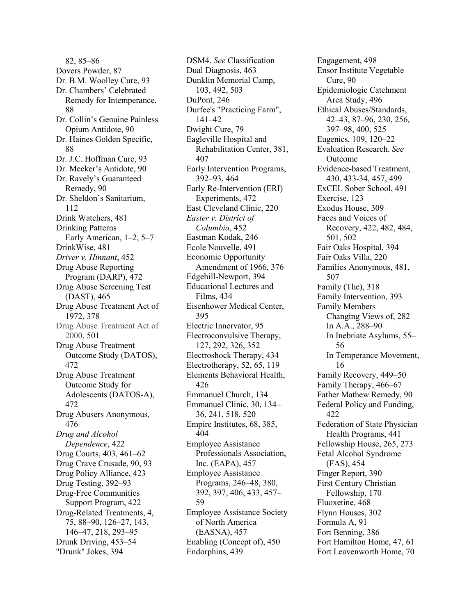82, 85–86 Dovers Powder, 87 Dr. B.M. Woolley Cure, 93 Dr. Chambers' Celebrated Remedy for Intemperance, 88 Dr. Collin's Genuine Painless Opium Antidote, 90 Dr. Haines Golden Specific, 88 Dr. J.C. Hoffman Cure, 93 Dr. Meeker's Antidote, 90 Dr. Ravely's Guaranteed Remedy, 90 Dr. Sheldon's Sanitarium, 112 Drink Watchers, 481 Drinking Patterns Early American, 1–2, 5–7 DrinkWise, 481 *Driver v. Hinnant*, 452 Drug Abuse Reporting Program (DARP), 472 Drug Abuse Screening Test (DAST), 465 Drug Abuse Treatment Act of 1972, 378 Drug Abuse Treatment Act of 2000, 501 Drug Abuse Treatment Outcome Study (DATOS), 472 Drug Abuse Treatment Outcome Study for Adolescents (DATOS-A), 472 Drug Abusers Anonymous, 476 *Drug and Alcohol Dependence*, 422 Drug Courts, 403, 461–62 Drug Crave Crusade, 90, 93 Drug Policy Alliance, 423 Drug Testing, 392–93 Drug-Free Communities Support Program, 422 Drug-Related Treatments, 4, 75, 88–90, 126–27, 143, 146–47, 218, 293–95 Drunk Driving, 453–54 "Drunk" Jokes, 394

DSM4. *See* Classification Dual Diagnosis, 463 Dunklin Memorial Camp, 103, 492, 503 DuPont, 246 Durfee's "Practicing Farm", 141–42 Dwight Cure, 79 Eagleville Hospital and Rehabilitation Center, 381, 407 Early Intervention Programs, 392–93, 464 Early Re-Intervention (ERI) Experiments, 472 East Cleveland Clinic, 220 *Easter v. District of Columbia*, 452 Eastman Kodak, 246 Ecole Nouvelle, 491 Economic Opportunity Amendment of 1966, 376 Edgehill-Newport, 394 Educational Lectures and Films, 434 Eisenhower Medical Center, 395 Electric Innervator, 95 Electroconvulsive Therapy, 127, 292, 326, 352 Electroshock Therapy, 434 Electrotherapy, 52, 65, 119 Elements Behavioral Health, 426 Emmanuel Church, 134 Emmanuel Clinic, 30, 134– 36, 241, 518, 520 Empire Institutes, 68, 385, 404 Employee Assistance Professionals Association, Inc. (EAPA), 457 Employee Assistance Programs, 246–48, 380, 392, 397, 406, 433, 457– 59 Employee Assistance Society of North America (EASNA), 457 Enabling (Concept of), 450 Endorphins, 439

Engagement, 498 Ensor Institute Vegetable Cure, 90 Epidemiologic Catchment Area Study, 496 Ethical Abuses/Standards, 42–43, 87–96, 230, 256, 397–98, 400, 525 Eugenics, 109, 120–22 Evaluation Research. *See* Outcome Evidence-based Treatment, 430, 433-34, 457, 499 ExCEL Sober School, 491 Exercise, 123 Exodus House, 309 Faces and Voices of Recovery, 422, 482, 484, 501, 502 Fair Oaks Hospital, 394 Fair Oaks Villa, 220 Families Anonymous, 481, 507 Family (The), 318 Family Intervention, 393 Family Members Changing Views of, 282 In A.A., 288–90 In Inebriate Asylums, 55– 56 In Temperance Movement, 16 Family Recovery, 449–50 Family Therapy, 466–67 Father Mathew Remedy, 90 Federal Policy and Funding, 422 Federation of State Physician Health Programs, 441 Fellowship House, 265, 273 Fetal Alcohol Syndrome (FAS), 454 Finger Report, 390 First Century Christian Fellowship, 170 Fluoxetine, 468 Flynn Houses, 302 Formula A, 91 Fort Benning, 386 Fort Hamilton Home, 47, 61 Fort Leavenworth Home, 70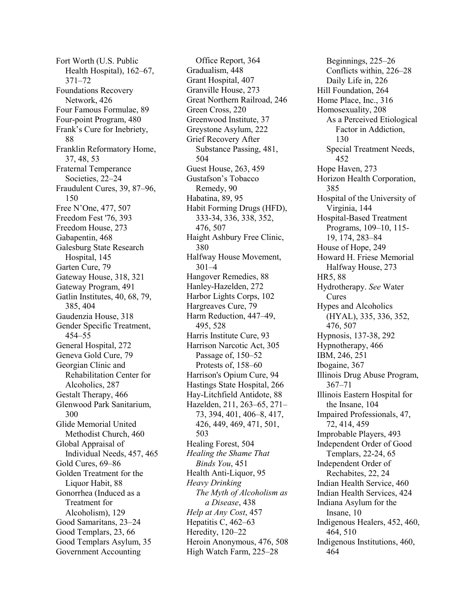Fort Worth (U.S. Public Health Hospital), 162–67, 371–72 Foundations Recovery Network, 426 Four Famous Formulae, 89 Four-point Program, 480 Frank's Cure for Inebriety, 88 Franklin Reformatory Home, 37, 48, 53 Fraternal Temperance Societies, 22–24 Fraudulent Cures, 39, 87–96, 150 Free N'One, 477, 507 Freedom Fest '76, 393 Freedom House, 273 Gabapentin, 468 Galesburg State Research Hospital, 145 Garten Cure, 79 Gateway House, 318, 321 Gateway Program, 491 Gatlin Institutes, 40, 68, 79, 385, 404 Gaudenzia House, 318 Gender Specific Treatment, 454–55 General Hospital, 272 Geneva Gold Cure, 79 Georgian Clinic and Rehabilitation Center for Alcoholics, 287 Gestalt Therapy, 466 Glenwood Park Sanitarium, 300 Glide Memorial United Methodist Church, 460 Global Appraisal of Individual Needs, 457, 465 Gold Cures, 69–86 Golden Treatment for the Liquor Habit, 88 Gonorrhea (Induced as a Treatment for Alcoholism), 129 Good Samaritans, 23–24 Good Templars, 23, 66 Good Templars Asylum, 35 Government Accounting

Office Report, 364 Gradualism, 448 Grant Hospital, 407 Granville House, 273 Great Northern Railroad, 246 Green Cross, 220 Greenwood Institute, 37 Greystone Asylum, 222 Grief Recovery After Substance Passing, 481, 504 Guest House, 263, 459 Gustafson's Tobacco Remedy, 90 Habatina, 89, 95 Habit Forming Drugs (HFD), 333-34, 336, 338, 352, 476, 507 Haight Ashbury Free Clinic, 380 Halfway House Movement, 301–4 Hangover Remedies, 88 Hanley-Hazelden, 272 Harbor Lights Corps, 102 Hargreaves Cure, 79 Harm Reduction, 447–49, 495, 528 Harris Institute Cure, 93 Harrison Narcotic Act, 305 Passage of, 150–52 Protests of, 158–60 Harrison's Opium Cure, 94 Hastings State Hospital, 266 Hay-Litchfield Antidote, 88 Hazelden, 211, 263–65, 271– 73, 394, 401, 406–8, 417, 426, 449, 469, 471, 501, 503 Healing Forest, 504 *Healing the Shame That Binds You*, 451 Health Anti-Liquor, 95 *Heavy Drinking The Myth of Alcoholism as a Disease*, 438 *Help at Any Cost*, 457 Hepatitis C, 462–63 Heredity, 120–22 Heroin Anonymous, 476, 508 High Watch Farm, 225–28

Beginnings, 225–26 Conflicts within, 226–28 Daily Life in, 226 Hill Foundation, 264 Home Place, Inc., 316 Homosexuality, 208 As a Perceived Etiological Factor in Addiction, 130 Special Treatment Needs, 452 Hope Haven, 273 Horizon Health Corporation, 385 Hospital of the University of Virginia, 144 Hospital-Based Treatment Programs, 109–10, 115- 19, 174, 283–84 House of Hope, 249 Howard H. Friese Memorial Halfway House, 273 HR5, 88 Hydrotherapy. *See* Water Cures Hypes and Alcoholics (HYAL), 335, 336, 352, 476, 507 Hypnosis, 137-38, 292 Hypnotherapy, 466 IBM, 246, 251 Ibogaine, 367 Illinois Drug Abuse Program, 367–71 Illinois Eastern Hospital for the Insane, 104 Impaired Professionals, 47, 72, 414, 459 Improbable Players, 493 Independent Order of Good Templars, 22-24, 65 Independent Order of Rechabites, 22, 24 Indian Health Service, 460 Indian Health Services, 424 Indiana Asylum for the Insane, 10 Indigenous Healers, 452, 460, 464, 510 Indigenous Institutions, 460, 464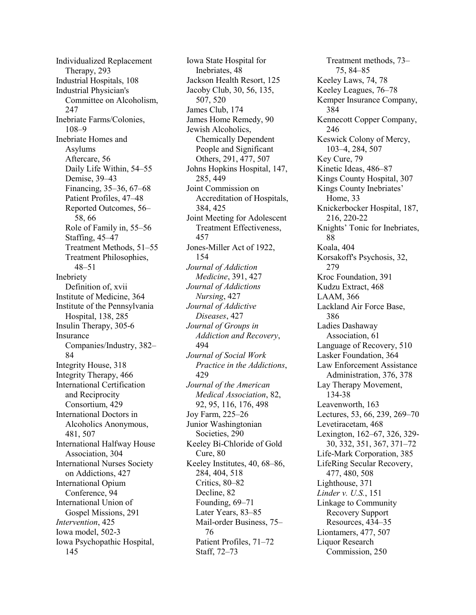Individualized Replacement Therapy, 293 Industrial Hospitals, 108 Industrial Physician's Committee on Alcoholism, 247 Inebriate Farms/Colonies, 108–9 Inebriate Homes and Asylums Aftercare, 56 Daily Life Within, 54–55 Demise, 39–43 Financing, 35–36, 67–68 Patient Profiles, 47–48 Reported Outcomes, 56– 58, 66 Role of Family in, 55–56 Staffing, 45–47 Treatment Methods, 51–55 Treatment Philosophies, 48–51 Inebriety Definition of, xvii Institute of Medicine, 364 Institute of the Pennsylvania Hospital, 138, 285 Insulin Therapy, 305-6 Insurance Companies/Industry, 382– 84 Integrity House, 318 Integrity Therapy, 466 International Certification and Reciprocity Consortium, 429 International Doctors in Alcoholics Anonymous, 481, 507 International Halfway House Association, 304 International Nurses Society on Addictions, 427 International Opium Conference, 94 International Union of Gospel Missions, 291 *Intervention*, 425 Iowa model, 502-3 Iowa Psychopathic Hospital, 145

Iowa State Hospital for Inebriates, 48 Jackson Health Resort, 125 Jacoby Club, 30, 56, 135, 507, 520 James Club, 174 James Home Remedy, 90 Jewish Alcoholics, Chemically Dependent People and Significant Others, 291, 477, 507 Johns Hopkins Hospital, 147, 285, 449 Joint Commission on Accreditation of Hospitals, 384, 425 Joint Meeting for Adolescent Treatment Effectiveness, 457 Jones-Miller Act of 1922, 154 *Journal of Addiction Medicine*, 391, 427 *Journal of Addictions Nursing*, 427 *Journal of Addictive Diseases*, 427 *Journal of Groups in Addiction and Recovery*, 494 *Journal of Social Work Practice in the Addictions*, 429 *Journal of the American Medical Association*, 82, 92, 95, 116, 176, 498 Joy Farm, 225–26 Junior Washingtonian Societies, 290 Keeley Bi-Chloride of Gold Cure, 80 Keeley Institutes, 40, 68–86, 284, 404, 518 Critics, 80–82 Decline, 82 Founding, 69–71 Later Years, 83–85 Mail-order Business, 75– 76 Patient Profiles, 71–72 Staff, 72–73

Treatment methods, 73– 75, 84–85 Keeley Laws, 74, 78 Keeley Leagues, 76–78 Kemper Insurance Company, 384 Kennecott Copper Company, 246 Keswick Colony of Mercy, 103–4, 284, 507 Key Cure, 79 Kinetic Ideas, 486–87 Kings County Hospital, 307 Kings County Inebriates' Home, 33 Knickerbocker Hospital, 187, 216, 220-22 Knights' Tonic for Inebriates, 88 Koala, 404 Korsakoff's Psychosis, 32, 279 Kroc Foundation, 391 Kudzu Extract, 468 LAAM, 366 Lackland Air Force Base, 386 Ladies Dashaway Association, 61 Language of Recovery, 510 Lasker Foundation, 364 Law Enforcement Assistance Administration, 376, 378 Lay Therapy Movement, 134-38 Leavenworth, 163 Lectures, 53, 66, 239, 269–70 Levetiracetam, 468 Lexington, 162–67, 326, 329- 30, 332, 351, 367, 371–72 Life-Mark Corporation, 385 LifeRing Secular Recovery, 477, 480, 508 Lighthouse, 371 *Linder v. U.S.*, 151 Linkage to Community Recovery Support Resources, 434–35 Liontamers, 477, 507 Liquor Research Commission, 250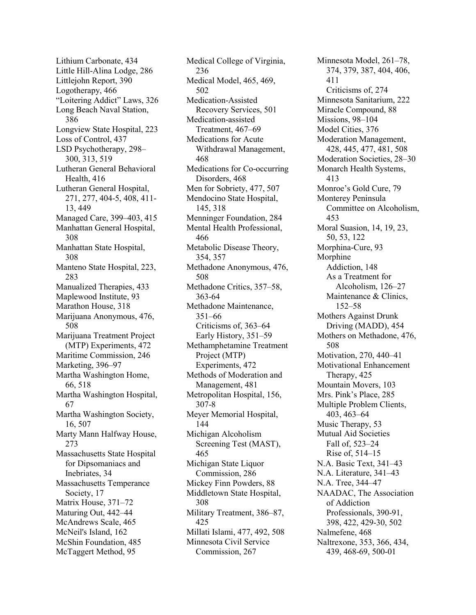Lithium Carbonate, 434 Little Hill-Alina Lodge, 286 Littlejohn Report, 390 Logotherapy, 466 "Loitering Addict" Laws, 326 Long Beach Naval Station, 386 Longview State Hospital, 223 Loss of Control, 437 LSD Psychotherapy, 298– 300, 313, 519 Lutheran General Behavioral Health, 416 Lutheran General Hospital, 271, 277, 404-5, 408, 411- 13, 449 Managed Care, 399–403, 415 Manhattan General Hospital, 308 Manhattan State Hospital, 308 Manteno State Hospital, 223, 283 Manualized Therapies, 433 Maplewood Institute, 93 Marathon House, 318 Marijuana Anonymous, 476, 508 Marijuana Treatment Project (MTP) Experiments, 472 Maritime Commission, 246 Marketing, 396–97 Martha Washington Home, 66, 518 Martha Washington Hospital, 67 Martha Washington Society, 16, 507 Marty Mann Halfway House, 273 Massachusetts State Hospital for Dipsomaniacs and Inebriates, 34 Massachusetts Temperance Society, 17 Matrix House, 371–72 Maturing Out, 442–44 McAndrews Scale, 465 McNeil's Island, 162 McShin Foundation, 485 McTaggert Method, 95

Medical College of Virginia, 236 Medical Model, 465, 469, 502 Medication-Assisted Recovery Services, 501 Medication-assisted Treatment, 467–69 Medications for Acute Withdrawal Management, 468 Medications for Co-occurring Disorders, 468 Men for Sobriety, 477, 507 Mendocino State Hospital, 145, 318 Menninger Foundation, 284 Mental Health Professional, 466 Metabolic Disease Theory, 354, 357 Methadone Anonymous, 476, 508 Methadone Critics, 357–58, 363-64 Methadone Maintenance, 351–66 Criticisms of, 363–64 Early History, 351–59 Methamphetamine Treatment Project (MTP) Experiments, 472 Methods of Moderation and Management, 481 Metropolitan Hospital, 156, 307-8 Meyer Memorial Hospital, 144 Michigan Alcoholism Screening Test (MAST), 465 Michigan State Liquor Commission, 286 Mickey Finn Powders, 88 Middletown State Hospital, 308 Military Treatment, 386–87, 425 Millati Islami, 477, 492, 508 Minnesota Civil Service Commission, 267

Minnesota Model, 261–78, 374, 379, 387, 404, 406, 411 Criticisms of, 274 Minnesota Sanitarium, 222 Miracle Compound, 88 Missions, 98–104 Model Cities, 376 Moderation Management, 428, 445, 477, 481, 508 Moderation Societies, 28–30 Monarch Health Systems, 413 Monroe's Gold Cure, 79 Monterey Peninsula Committee on Alcoholism, 453 Moral Suasion, 14, 19, 23, 50, 53, 122 Morphina-Cure, 93 Morphine Addiction, 148 As a Treatment for Alcoholism, 126–27 Maintenance & Clinics, 152–58 Mothers Against Drunk Driving (MADD), 454 Mothers on Methadone, 476, 508 Motivation, 270, 440–41 Motivational Enhancement Therapy, 425 Mountain Movers, 103 Mrs. Pink's Place, 285 Multiple Problem Clients, 403, 463–64 Music Therapy, 53 Mutual Aid Societies Fall of, 523–24 Rise of, 514–15 N.A. Basic Text, 341–43 N.A. Literature, 341–43 N.A. Tree, 344–47 NAADAC, The Association of Addiction Professionals, 390-91, 398, 422, 429-30, 502 Nalmefene, 468 Naltrexone, 353, 366, 434, 439, 468-69, 500-01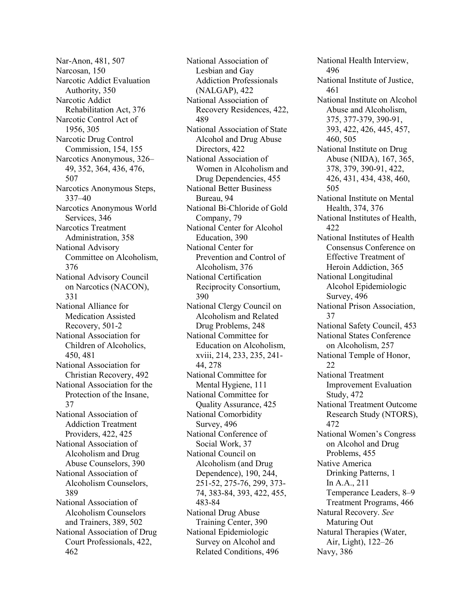Nar-Anon, 481, 507 Narcosan, 150 Narcotic Addict Evaluation Authority, 350 Narcotic Addict Rehabilitation Act, 376 Narcotic Control Act of 1956, 305 Narcotic Drug Control Commission, 154, 155 Narcotics Anonymous, 326– 49, 352, 364, 436, 476, 507 Narcotics Anonymous Steps, 337–40 Narcotics Anonymous World Services, 346 Narcotics Treatment Administration, 358 National Advisory Committee on Alcoholism, 376 National Advisory Council on Narcotics (NACON), 331 National Alliance for Medication Assisted Recovery, 501-2 National Association for Children of Alcoholics, 450, 481 National Association for Christian Recovery, 492 National Association for the Protection of the Insane, 37 National Association of Addiction Treatment Providers, 422, 425 National Association of Alcoholism and Drug Abuse Counselors, 390 National Association of Alcoholism Counselors, 389 National Association of Alcoholism Counselors and Trainers, 389, 502 National Association of Drug Court Professionals, 422, 462

National Association of Lesbian and Gay Addiction Professionals (NALGAP), 422 National Association of Recovery Residences, 422, 489 National Association of State Alcohol and Drug Abuse Directors, 422 National Association of Women in Alcoholism and Drug Dependencies, 455 National Better Business Bureau, 94 National Bi-Chloride of Gold Company, 79 National Center for Alcohol Education, 390 National Center for Prevention and Control of Alcoholism, 376 National Certification Reciprocity Consortium, 390 National Clergy Council on Alcoholism and Related Drug Problems, 248 National Committee for Education on Alcoholism, xviii, 214, 233, 235, 241- 44, 278 National Committee for Mental Hygiene, 111 National Committee for Quality Assurance, 425 National Comorbidity Survey, 496 National Conference of Social Work, 37 National Council on Alcoholism (and Drug Dependence), 190, 244, 251-52, 275-76, 299, 373- 74, 383-84, 393, 422, 455, 483-84 National Drug Abuse Training Center, 390 National Epidemiologic Survey on Alcohol and Related Conditions, 496

National Health Interview, 496 National Institute of Justice, 461 National Institute on Alcohol Abuse and Alcoholism, 375, 377-379, 390-91, 393, 422, 426, 445, 457, 460, 505 National Institute on Drug Abuse (NIDA), 167, 365, 378, 379, 390-91, 422, 426, 431, 434, 438, 460, 505 National Institute on Mental Health, 374, 376 National Institutes of Health, 422 National Institutes of Health Consensus Conference on Effective Treatment of Heroin Addiction, 365 National Longitudinal Alcohol Epidemiologic Survey, 496 National Prison Association, 37 National Safety Council, 453 National States Conference on Alcoholism, 257 National Temple of Honor, 22 National Treatment Improvement Evaluation Study, 472 National Treatment Outcome Research Study (NTORS), 472 National Women's Congress on Alcohol and Drug Problems, 455 Native America Drinking Patterns, 1 In A.A., 211 Temperance Leaders, 8–9 Treatment Programs, 466 Natural Recovery. *See* Maturing Out Natural Therapies (Water, Air, Light), 122–26 Navy, 386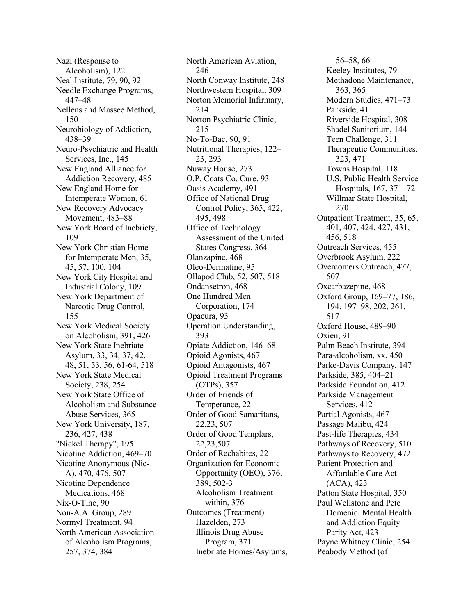Nazi (Response to Alcoholism), 122 Neal Institute, 79, 90, 92 Needle Exchange Programs, 447–48 Nellens and Massee Method, 150 Neurobiology of Addiction, 438–39 Neuro-Psychiatric and Health Services, Inc., 145 New England Alliance for Addiction Recovery, 485 New England Home for Intemperate Women, 61 New Recovery Advocacy Movement, 483–88 New York Board of Inebriety, 109 New York Christian Home for Intemperate Men, 35, 45, 57, 100, 104 New York City Hospital and Industrial Colony, 109 New York Department of Narcotic Drug Control, 155 New York Medical Society on Alcoholism, 391, 426 New York State Inebriate Asylum, 33, 34, 37, 42, 48, 51, 53, 56, 61-64, 518 New York State Medical Society, 238, 254 New York State Office of Alcoholism and Substance Abuse Services, 365 New York University, 187, 236, 427, 438 "Nickel Therapy", 195 Nicotine Addiction, 469–70 Nicotine Anonymous (Nic-A), 470, 476, 507 Nicotine Dependence Medications, 468 Nix-O-Tine, 90 Non-A.A. Group, 289 Normyl Treatment, 94 North American Association of Alcoholism Programs, 257, 374, 384

North American Aviation, 246 North Conway Institute, 248 Northwestern Hospital, 309 Norton Memorial Infirmary, 214 Norton Psychiatric Clinic, 215 No-To-Bac, 90, 91 Nutritional Therapies, 122– 23, 293 Nuway House, 273 O.P. Coats Co. Cure, 93 Oasis Academy, 491 Office of National Drug Control Policy, 365, 422, 495, 498 Office of Technology Assessment of the United States Congress, 364 Olanzapine, 468 Oleo-Dermatine, 95 Ollapod Club, 52, 507, 518 Ondansetron, 468 One Hundred Men Corporation, 174 Opacura, 93 Operation Understanding, 393 Opiate Addiction, 146–68 Opioid Agonists, 467 Opioid Antagonists, 467 Opioid Treatment Programs (OTPs), 357 Order of Friends of Temperance, 22 Order of Good Samaritans, 22,23, 507 Order of Good Templars, 22,23,507 Order of Rechabites, 22 Organization for Economic Opportunity (OEO), 376, 389, 502-3 Alcoholism Treatment within, 376 Outcomes (Treatment) Hazelden, 273 Illinois Drug Abuse Program, 371 Inebriate Homes/Asylums,

56–58, 66 Keeley Institutes, 79 Methadone Maintenance, 363, 365 Modern Studies, 471–73 Parkside, 411 Riverside Hospital, 308 Shadel Sanitorium, 144 Teen Challenge, 311 Therapeutic Communities, 323, 471 Towns Hospital, 118 U.S. Public Health Service Hospitals, 167, 371–72 Willmar State Hospital, 270 Outpatient Treatment, 35, 65, 401, 407, 424, 427, 431, 456, 518 Outreach Services, 455 Overbrook Asylum, 222 Overcomers Outreach, 477, 507 Oxcarbazepine, 468 Oxford Group, 169–77, 186, 194, 197–98, 202, 261, 517 Oxford House, 489–90 Oxien, 91 Palm Beach Institute, 394 Para-alcoholism, xx, 450 Parke-Davis Company, 147 Parkside, 385, 404–21 Parkside Foundation, 412 Parkside Management Services, 412 Partial Agonists, 467 Passage Malibu, 424 Past-life Therapies, 434 Pathways of Recovery, 510 Pathways to Recovery, 472 Patient Protection and Affordable Care Act (ACA), 423 Patton State Hospital, 350 Paul Wellstone and Pete Domenici Mental Health and Addiction Equity Parity Act, 423 Payne Whitney Clinic, 254 Peabody Method (of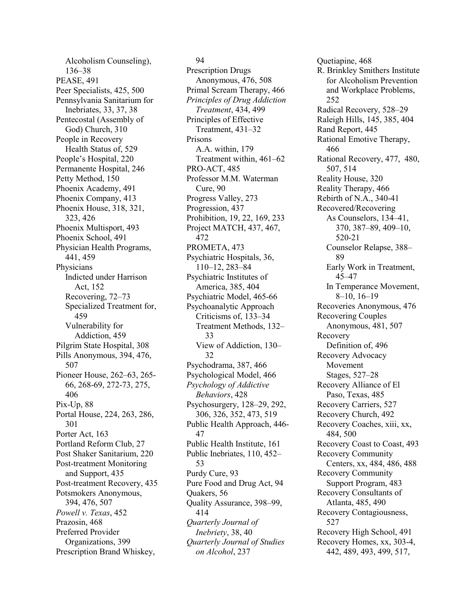Alcoholism Counseling), 136–38 PEASE, 491 Peer Specialists, 425, 500 Pennsylvania Sanitarium for Inebriates, 33, 37, 38 Pentecostal (Assembly of God) Church, 310 People in Recovery Health Status of, 529 People's Hospital, 220 Permanente Hospital, 246 Petty Method, 150 Phoenix Academy, 491 Phoenix Company, 413 Phoenix House, 318, 321, 323, 426 Phoenix Multisport, 493 Phoenix School, 491 Physician Health Programs, 441, 459 **Physicians** Indicted under Harrison Act, 152 Recovering, 72–73 Specialized Treatment for, 459 Vulnerability for Addiction, 459 Pilgrim State Hospital, 308 Pills Anonymous, 394, 476, 507 Pioneer House, 262–63, 265- 66, 268-69, 272-73, 275, 406 Pix-Up, 88 Portal House, 224, 263, 286, 301 Porter Act, 163 Portland Reform Club, 27 Post Shaker Sanitarium, 220 Post-treatment Monitoring and Support, 435 Post-treatment Recovery, 435 Potsmokers Anonymous, 394, 476, 507 *Powell v. Texas*, 452 Prazosin, 468 Preferred Provider Organizations, 399 Prescription Brand Whiskey,

## 94

Prescription Drugs Anonymous, 476, 508 Primal Scream Therapy, 466 *Principles of Drug Addiction Treatment*, 434, 499 Principles of Effective Treatment, 431–32 Prisons A.A. within, 179 Treatment within, 461–62 PRO-ACT, 485 Professor M.M. Waterman Cure, 90 Progress Valley, 273 Progression, 437 Prohibition, 19, 22, 169, 233 Project MATCH, 437, 467, 472 PROMETA, 473 Psychiatric Hospitals, 36, 110–12, 283–84 Psychiatric Institutes of America, 385, 404 Psychiatric Model, 465-66 Psychoanalytic Approach Criticisms of, 133–34 Treatment Methods, 132– 33 View of Addiction, 130– 32 Psychodrama, 387, 466 Psychological Model, 466 *Psychology of Addictive Behaviors*, 428 Psychosurgery, 128–29, 292, 306, 326, 352, 473, 519 Public Health Approach, 446- 47 Public Health Institute, 161 Public Inebriates, 110, 452– 53 Purdy Cure, 93 Pure Food and Drug Act, 94 Quakers, 56 Quality Assurance, 398–99, 414 *Quarterly Journal of Inebriety*, 38, 40 *Quarterly Journal of Studies on Alcohol*, 237

Quetiapine, 468 R. Brinkley Smithers Institute for Alcoholism Prevention and Workplace Problems, 252 Radical Recovery, 528–29 Raleigh Hills, 145, 385, 404 Rand Report, 445 Rational Emotive Therapy, 466 Rational Recovery, 477, 480, 507, 514 Reality House, 320 Reality Therapy, 466 Rebirth of N.A., 340-41 Recovered/Recovering As Counselors, 134–41, 370, 387–89, 409–10, 520-21 Counselor Relapse, 388– 89 Early Work in Treatment, 45–47 In Temperance Movement, 8–10, 16–19 Recoveries Anonymous, 476 Recovering Couples Anonymous, 481, 507 Recovery Definition of, 496 Recovery Advocacy Movement Stages, 527–28 Recovery Alliance of El Paso, Texas, 485 Recovery Carriers, 527 Recovery Church, 492 Recovery Coaches, xiii, xx, 484, 500 Recovery Coast to Coast, 493 Recovery Community Centers, xx, 484, 486, 488 Recovery Community Support Program, 483 Recovery Consultants of Atlanta, 485, 490 Recovery Contagiousness, 527 Recovery High School, 491 Recovery Homes, xx, 303-4, 442, 489, 493, 499, 517,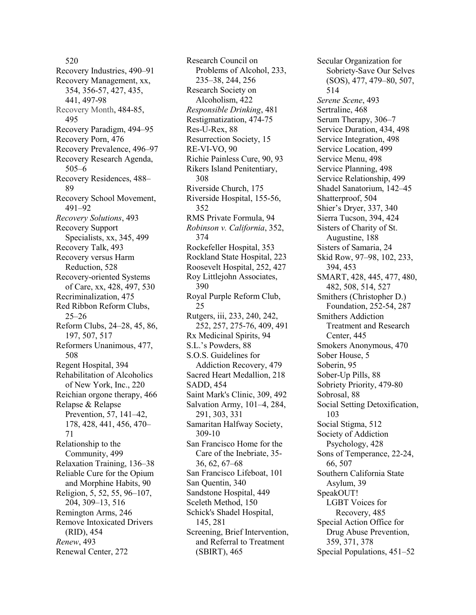520 Recovery Industries, 490–91 Recovery Management, xx, 354, 356-57, 427, 435, 441, 497-98 Recovery Month, 484-85, 495 Recovery Paradigm, 494–95 Recovery Porn, 476 Recovery Prevalence, 496–97 Recovery Research Agenda, 505–6 Recovery Residences, 488– 89 Recovery School Movement, 491–92 *Recovery Solutions*, 493 Recovery Support Specialists, xx, 345, 499 Recovery Talk, 493 Recovery versus Harm Reduction, 528 Recovery-oriented Systems of Care, xx, 428, 497, 530 Recriminalization, 475 Red Ribbon Reform Clubs, 25–26 Reform Clubs, 24–28, 45, 86, 197, 507, 517 Reformers Unanimous, 477, 508 Regent Hospital, 394 Rehabilitation of Alcoholics of New York, Inc., 220 Reichian orgone therapy, 466 Relapse & Relapse Prevention, 57, 141–42, 178, 428, 441, 456, 470– 71 Relationship to the Community, 499 Relaxation Training, 136–38 Reliable Cure for the Opium and Morphine Habits, 90 Religion, 5, 52, 55, 96–107, 204, 309–13, 516 Remington Arms, 246 Remove Intoxicated Drivers (RID), 454 *Renew*, 493 Renewal Center, 272

Research Council on Problems of Alcohol, 233, 235–38, 244, 256 Research Society on Alcoholism, 422 *Responsible Drinking*, 481 Restigmatization, 474-75 Res-U-Rex, 88 Resurrection Society, 15 RE-VI-VO, 90 Richie Painless Cure, 90, 93 Rikers Island Penitentiary, 308 Riverside Church, 175 Riverside Hospital, 155-56, 352 RMS Private Formula, 94 *Robinson v. California*, 352, 374 Rockefeller Hospital, 353 Rockland State Hospital, 223 Roosevelt Hospital, 252, 427 Roy Littlejohn Associates, 390 Royal Purple Reform Club, 25 Rutgers, iii, 233, 240, 242, 252, 257, 275-76, 409, 491 Rx Medicinal Spirits, 94 S.L.'s Powders, 88 S.O.S. Guidelines for Addiction Recovery, 479 Sacred Heart Medallion, 218 SADD, 454 Saint Mark's Clinic, 309, 492 Salvation Army, 101–4, 284, 291, 303, 331 Samaritan Halfway Society, 309-10 San Francisco Home for the Care of the Inebriate, 35- 36, 62, 67–68 San Francisco Lifeboat, 101 San Quentin, 340 Sandstone Hospital, 449 Sceleth Method, 150 Schick's Shadel Hospital, 145, 281 Screening, Brief Intervention, and Referral to Treatment (SBIRT), 465

Secular Organization for Sobriety-Save Our Selves (SOS), 477, 479–80, 507, 514 *Serene Scene*, 493 Sertraline, 468 Serum Therapy, 306–7 Service Duration, 434, 498 Service Integration, 498 Service Location, 499 Service Menu, 498 Service Planning, 498 Service Relationship, 499 Shadel Sanatorium, 142–45 Shatterproof, 504 Shier's Dryer, 337, 340 Sierra Tucson, 394, 424 Sisters of Charity of St. Augustine, 188 Sisters of Samaria, 24 Skid Row, 97–98, 102, 233, 394, 453 SMART, 428, 445, 477, 480, 482, 508, 514, 527 Smithers (Christopher D.) Foundation, 252-54, 287 Smithers Addiction Treatment and Research Center, 445 Smokers Anonymous, 470 Sober House, 5 Soberin, 95 Sober-Up Pills, 88 Sobriety Priority, 479-80 Sobrosal, 88 Social Setting Detoxification, 103 Social Stigma, 512 Society of Addiction Psychology, 428 Sons of Temperance, 22-24, 66, 507 Southern California State Asylum, 39 SpeakOUT! LGBT Voices for Recovery, 485 Special Action Office for Drug Abuse Prevention, 359, 371, 378 Special Populations, 451–52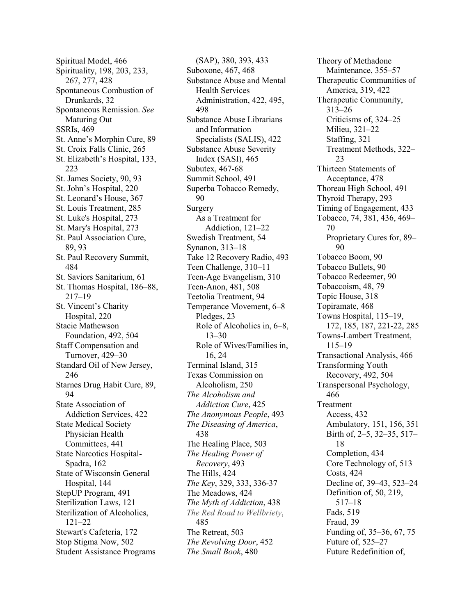Spiritual Model, 466 Spirituality, 198, 203, 233, 267, 277, 428 Spontaneous Combustion of Drunkards, 32 Spontaneous Remission. *See* Maturing Out SSRIs, 469 St. Anne's Morphin Cure, 89 St. Croix Falls Clinic, 265 St. Elizabeth's Hospital, 133, 223 St. James Society, 90, 93 St. John's Hospital, 220 St. Leonard's House, 367 St. Louis Treatment, 285 St. Luke's Hospital, 273 St. Mary's Hospital, 273 St. Paul Association Cure, 89, 93 St. Paul Recovery Summit, 484 St. Saviors Sanitarium, 61 St. Thomas Hospital, 186–88, 217–19 St. Vincent's Charity Hospital, 220 Stacie Mathewson Foundation, 492, 504 Staff Compensation and Turnover, 429–30 Standard Oil of New Jersey, 246 Starnes Drug Habit Cure, 89, 94 State Association of Addiction Services, 422 State Medical Society Physician Health Committees, 441 State Narcotics Hospital-Spadra, 162 State of Wisconsin General Hospital, 144 StepUP Program, 491 Sterilization Laws, 121 Sterilization of Alcoholics, 121–22 Stewart's Cafeteria, 172 Stop Stigma Now, 502 Student Assistance Programs

(SAP), 380, 393, 433 Suboxone, 467, 468 Substance Abuse and Mental Health Services Administration, 422, 495, 498 Substance Abuse Librarians and Information Specialists (SALIS), 422 Substance Abuse Severity Index (SASI), 465 Subutex, 467-68 Summit School, 491 Superba Tobacco Remedy, 90 Surgery As a Treatment for Addiction, 121–22 Swedish Treatment, 54 Synanon, 313–18 Take 12 Recovery Radio, 493 Teen Challenge, 310–11 Teen-Age Evangelism, 310 Teen-Anon, 481, 508 Teetolia Treatment, 94 Temperance Movement, 6–8 Pledges, 23 Role of Alcoholics in, 6–8, 13–30 Role of Wives/Families in, 16, 24 Terminal Island, 315 Texas Commission on Alcoholism, 250 *The Alcoholism and Addiction Cure*, 425 *The Anonymous People*, 493 *The Diseasing of America*, 438 The Healing Place, 503 *The Healing Power of Recovery*, 493 The Hills, 424 *The Key*, 329, 333, 336-37 The Meadows, 424 *The Myth of Addiction*, 438 *The Red Road to Wellbriety*, 485 The Retreat, 503 *The Revolving Door*, 452 *The Small Book*, 480

Theory of Methadone Maintenance, 355–57 Therapeutic Communities of America, 319, 422 Therapeutic Community, 313–26 Criticisms of, 324–25 Milieu, 321–22 Staffing, 321 Treatment Methods, 322– 23 Thirteen Statements of Acceptance, 478 Thoreau High School, 491 Thyroid Therapy, 293 Timing of Engagement, 433 Tobacco, 74, 381, 436, 469– 70 Proprietary Cures for, 89– 90 Tobacco Boom, 90 Tobacco Bullets, 90 Tobacco Redeemer, 90 Tobaccoism, 48, 79 Topic House, 318 Topiramate, 468 Towns Hospital, 115–19, 172, 185, 187, 221-22, 285 Towns-Lambert Treatment, 115–19 Transactional Analysis, 466 Transforming Youth Recovery, 492, 504 Transpersonal Psychology, 466 Treatment Access, 432 Ambulatory, 151, 156, 351 Birth of, 2–5, 32–35, 517– 18 Completion, 434 Core Technology of, 513 Costs, 424 Decline of, 39–43, 523–24 Definition of, 50, 219, 517–18 Fads, 519 Fraud, 39 Funding of, 35–36, 67, 75 Future of, 525–27 Future Redefinition of,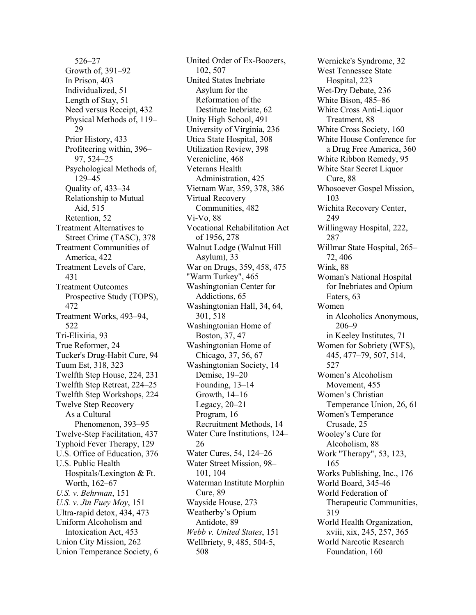526–27 Growth of, 391–92 In Prison, 403 Individualized, 51 Length of Stay, 51 Need versus Receipt, 432 Physical Methods of, 119– 29 Prior History, 433 Profiteering within, 396– 97, 524–25 Psychological Methods of, 129–45 Quality of, 433–34 Relationship to Mutual Aid, 515 Retention, 52 Treatment Alternatives to Street Crime (TASC), 378 Treatment Communities of America, 422 Treatment Levels of Care, 431 Treatment Outcomes Prospective Study (TOPS), 472 Treatment Works, 493–94, 522 Tri-Elixiria, 93 True Reformer, 24 Tucker's Drug-Habit Cure, 94 Tuum Est, 318, 323 Twelfth Step House, 224, 231 Twelfth Step Retreat, 224–25 Twelfth Step Workshops, 224 Twelve Step Recovery As a Cultural Phenomenon, 393–95 Twelve-Step Facilitation, 437 Typhoid Fever Therapy, 129 U.S. Office of Education, 376 U.S. Public Health Hospitals/Lexington & Ft. Worth, 162–67 *U.S. v. Behrman*, 151 *U.S. v. Jin Fuey Moy*, 151 Ultra-rapid detox, 434, 473 Uniform Alcoholism and Intoxication Act, 453 Union City Mission, 262 Union Temperance Society, 6

United Order of Ex-Boozers, 102, 507 United States Inebriate Asylum for the Reformation of the Destitute Inebriate, 62 Unity High School, 491 University of Virginia, 236 Utica State Hospital, 308 Utilization Review, 398 Verenicline, 468 Veterans Health Administration, 425 Vietnam War, 359, 378, 386 Virtual Recovery Communities, 482 Vi-Vo, 88 Vocational Rehabilitation Act of 1956, 278 Walnut Lodge (Walnut Hill Asylum), 33 War on Drugs, 359, 458, 475 "Warm Turkey", 465 Washingtonian Center for Addictions, 65 Washingtonian Hall, 34, 64, 301, 518 Washingtonian Home of Boston, 37, 47 Washingtonian Home of Chicago, 37, 56, 67 Washingtonian Society, 14 Demise, 19–20 Founding, 13–14 Growth, 14–16 Legacy, 20–21 Program, 16 Recruitment Methods, 14 Water Cure Institutions, 124– 26 Water Cures, 54, 124–26 Water Street Mission, 98– 101, 104 Waterman Institute Morphin Cure, 89 Wayside House, 273 Weatherby's Opium Antidote, 89 *Webb v. United States*, 151 Wellbriety, 9, 485, 504-5, 508

Wernicke's Syndrome, 32 West Tennessee State Hospital, 223 Wet-Dry Debate, 236 White Bison, 485–86 White Cross Anti-Liquor Treatment, 88 White Cross Society, 160 White House Conference for a Drug Free America, 360 White Ribbon Remedy, 95 White Star Secret Liquor Cure, 88 Whosoever Gospel Mission, 103 Wichita Recovery Center, 249 Willingway Hospital, 222, 287 Willmar State Hospital, 265– 72, 406 Wink, 88 Woman's National Hospital for Inebriates and Opium Eaters, 63 Women in Alcoholics Anonymous, 206–9 in Keeley Institutes, 71 Women for Sobriety (WFS), 445, 477–79, 507, 514, 527 Women's Alcoholism Movement, 455 Women's Christian Temperance Union, 26, 61 Women's Temperance Crusade, 25 Wooley's Cure for Alcoholism, 88 Work "Therapy", 53, 123, 165 Works Publishing, Inc., 176 World Board, 345-46 World Federation of Therapeutic Communities, 319 World Health Organization, xviii, xix, 245, 257, 365 World Narcotic Research Foundation, 160